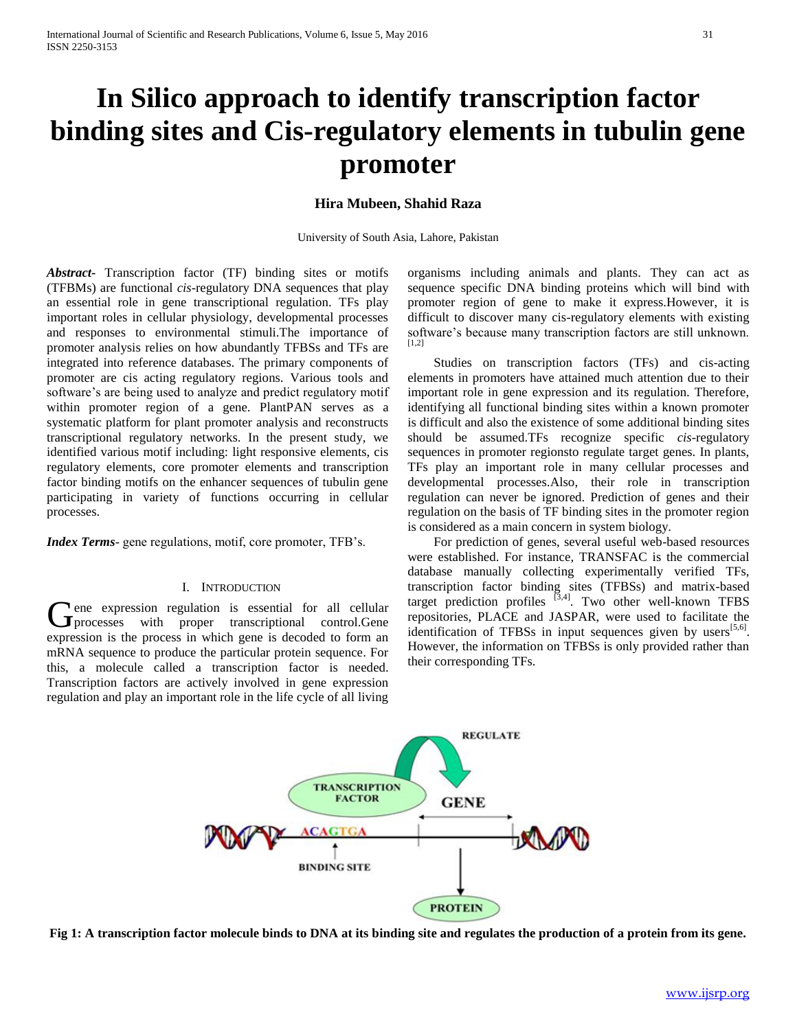# **In Silico approach to identify transcription factor binding sites and Cis-regulatory elements in tubulin gene promoter**

# **Hira Mubeen, Shahid Raza**

University of South Asia, Lahore, Pakistan

*Abstract***-** Transcription factor (TF) binding sites or motifs (TFBMs) are functional *cis*-regulatory DNA sequences that play an essential role in gene transcriptional regulation. TFs play important roles in cellular physiology, developmental processes and responses to environmental stimuli.The importance of promoter analysis relies on how abundantly TFBSs and TFs are integrated into reference databases. The primary components of promoter are cis acting regulatory regions. Various tools and software's are being used to analyze and predict regulatory motif within promoter region of a gene. PlantPAN serves as a systematic platform for plant promoter analysis and reconstructs transcriptional regulatory networks. In the present study, we identified various motif including: light responsive elements, cis regulatory elements, core promoter elements and transcription factor binding motifs on the enhancer sequences of tubulin gene participating in variety of functions occurring in cellular processes.

*Index Terms*- gene regulations, motif, core promoter, TFB's.

# I. INTRODUCTION

**T** ene expression regulation is essential for all cellular Gene expression regulation is essential for all cellular processes with proper transcriptional control.Gene expression is the process in which gene is decoded to form an mRNA sequence to produce the particular protein sequence. For this, a molecule called a transcription factor is needed. Transcription factors are actively involved in gene expression regulation and play an important role in the life cycle of all living

organisms including animals and plants. They can act as sequence specific DNA binding proteins which will bind with promoter region of gene to make it express.However, it is difficult to discover many cis-regulatory elements with existing software's because many transcription factors are still unknown. [1,2]

 Studies on transcription factors (TFs) and cis-acting elements in promoters have attained much attention due to their important role in gene expression and its regulation. Therefore, identifying all functional binding sites within a known promoter is difficult and also the existence of some additional binding sites should be assumed.TFs recognize specific *cis-*regulatory sequences in promoter regionsto regulate target genes. In plants, TFs play an important role in many cellular processes and developmental processes.Also, their role in transcription regulation can never be ignored. Prediction of genes and their regulation on the basis of TF binding sites in the promoter region is considered as a main concern in system biology.

 For prediction of genes, several useful web-based resources were established. For instance, TRANSFAC is the commercial database manually collecting experimentally verified TFs, transcription factor binding sites (TFBSs) and matrix-based target prediction profiles  $^{[3,4]}$ . Two other well-known TFBS repositories, PLACE and JASPAR, were used to facilitate the identification of TFBSs in input sequences given by users $[5,6]$ . However, the information on TFBSs is only provided rather than their corresponding TFs.



**Fig 1: A transcription factor molecule binds to DNA at its binding site and regulates the production of a protein from its gene.**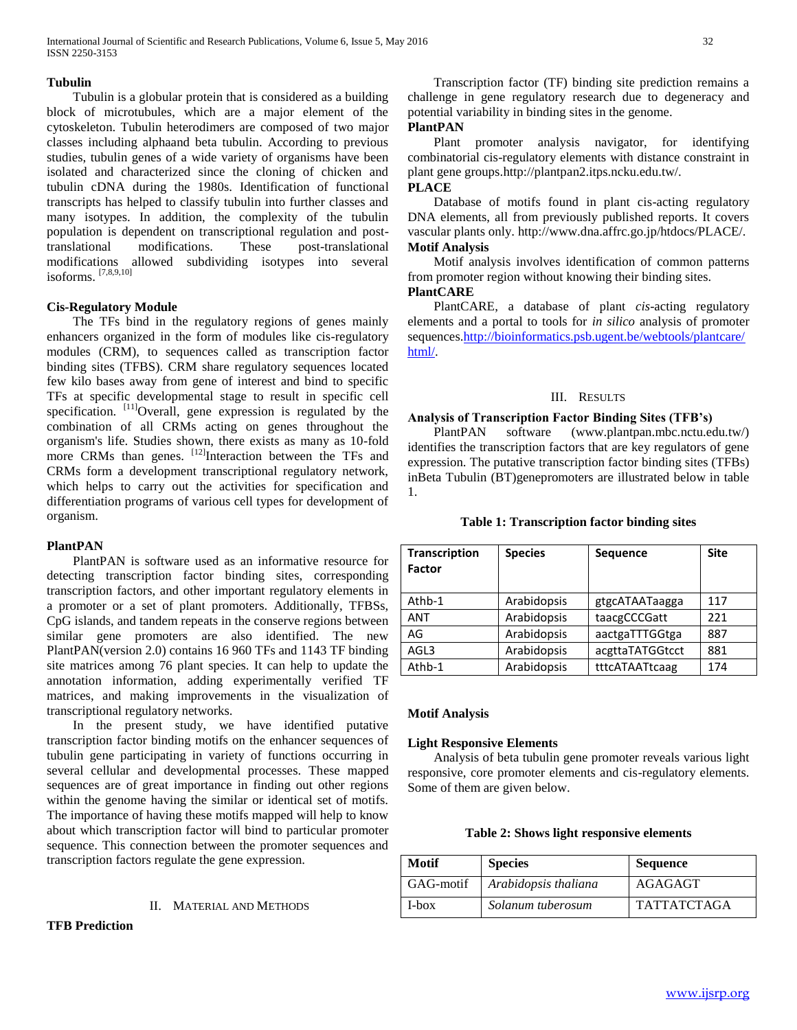## **Tubulin**

 Tubulin is a globular protein that is considered as a building block of microtubules, which are a major element of the cytoskeleton. Tubulin heterodimers are composed of two major classes including alphaand beta tubulin. According to previous studies, tubulin genes of a wide variety of organisms have been isolated and characterized since the cloning of chicken and tubulin cDNA during the 1980s. Identification of functional transcripts has helped to classify tubulin into further classes and many isotypes. In addition, the complexity of the tubulin population is dependent on transcriptional regulation and posttranslational modifications. These post-translational modifications allowed subdividing isotypes into several isoforms. [7,8,9,10]

# **Cis-Regulatory Module**

 The TFs bind in the regulatory regions of genes mainly enhancers organized in the form of modules like cis-regulatory modules (CRM), to sequences called as transcription factor binding sites (TFBS). CRM share regulatory sequences located few kilo bases away from gene of interest and bind to specific TFs at specific developmental stage to result in specific cell specification. <sup>[11]</sup>Overall, gene expression is regulated by the combination of all CRMs acting on genes throughout the organism's life. Studies shown, there exists as many as 10-fold more CRMs than genes.  $[12]$ Interaction between the TFs and CRMs form a development transcriptional regulatory network, which helps to carry out the activities for specification and differentiation programs of various cell types for development of organism.

## **PlantPAN**

 PlantPAN is software used as an informative resource for detecting transcription factor binding sites, corresponding transcription factors, and other important regulatory elements in a promoter or a set of plant promoters. Additionally, TFBSs, CpG islands, and tandem repeats in the conserve regions between similar gene promoters are also identified. The new PlantPAN(version 2.0) contains 16 960 TFs and 1143 TF binding site matrices among 76 plant species. It can help to update the annotation information, adding experimentally verified TF matrices, and making improvements in the visualization of transcriptional regulatory networks.

 In the present study, we have identified putative transcription factor binding motifs on the enhancer sequences of tubulin gene participating in variety of functions occurring in several cellular and developmental processes. These mapped sequences are of great importance in finding out other regions within the genome having the similar or identical set of motifs. The importance of having these motifs mapped will help to know about which transcription factor will bind to particular promoter sequence. This connection between the promoter sequences and transcription factors regulate the gene expression.

## II. MATERIAL AND METHODS

# **TFB Prediction**

 Transcription factor (TF) binding site prediction remains a challenge in gene regulatory research due to degeneracy and potential variability in binding sites in the genome. **PlantPAN**

 Plant promoter analysis navigator, for identifying combinatorial cis-regulatory elements with distance constraint in plant gene groups.http://plantpan2.itps.ncku.edu.tw/.

# **PLACE**

 Database of motifs found in plant cis-acting regulatory DNA elements, all from previously published reports. It covers vascular plants only. http://www.dna.affrc.go.jp/htdocs/PLACE/. **Motif Analysis**

 Motif analysis involves identification of common patterns from promoter region without knowing their binding sites.

# **PlantCARE**

 PlantCARE, a database of plant *cis*-acting regulatory elements and a portal to tools for *in silico* analysis of promoter sequences[.http://bioinformatics.psb.ugent.be/webtools/plantcare/](http://bioinformatics.psb.ugent.be/webtools/plantcare/html/) [html/.](http://bioinformatics.psb.ugent.be/webtools/plantcare/html/)

## III. RESULTS

## **Analysis of Transcription Factor Binding Sites (TFB's)**

 PlantPAN software (www.plantpan.mbc.nctu.edu.tw/) identifies the transcription factors that are key regulators of gene expression. The putative transcription factor binding sites (TFBs) inBeta Tubulin (BT)genepromoters are illustrated below in table 1.

| <b>Transcription</b><br><b>Factor</b> | <b>Species</b> | Sequence        | <b>Site</b> |
|---------------------------------------|----------------|-----------------|-------------|
| Athb-1                                | Arabidopsis    | gtgcATAATaagga  | 117         |
| <b>ANT</b>                            | Arabidopsis    | taacgCCCGatt    | 221         |
| AG                                    | Arabidopsis    | aactgaTTTGGtga  | 887         |
| AGL3                                  | Arabidopsis    | acgttaTATGGtcct | 881         |
| Athb-1                                | Arabidopsis    | tttcATAATtcaag  | 174         |

# **Table 1: Transcription factor binding sites**

## **Motif Analysis**

## **Light Responsive Elements**

 Analysis of beta tubulin gene promoter reveals various light responsive, core promoter elements and cis-regulatory elements. Some of them are given below.

# **Table 2: Shows light responsive elements**

| Motif     | <b>Species</b>       | Sequence           |
|-----------|----------------------|--------------------|
| GAG-motif | Arabidopsis thaliana | AGAGAGT            |
| I-box     | Solanum tuberosum    | <b>TATTATCTAGA</b> |